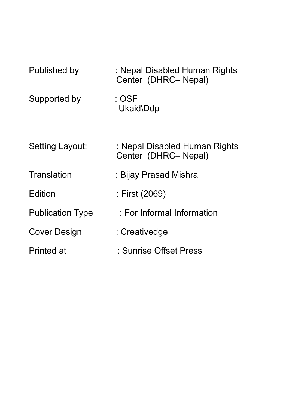| Published by            | : Nepal Disabled Human Rights<br>Center (DHRC-Nepal) |
|-------------------------|------------------------------------------------------|
| Supported by            | : OSF<br>Ukaid\Ddp                                   |
| Setting Layout:         | : Nepal Disabled Human Rights<br>Center (DHRC-Nepal) |
| <b>Translation</b>      | : Bijay Prasad Mishra                                |
| Edition                 | : First (2069)                                       |
| <b>Publication Type</b> | : For Informal Information                           |
| Cover Design            | : Creativedge                                        |
| <b>Printed at</b>       | : Sunrise Offset Press                               |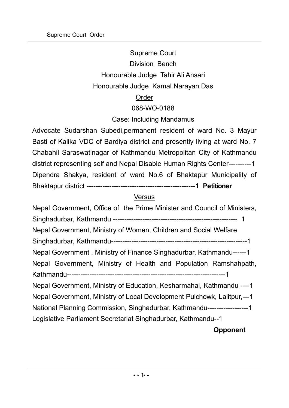# Supreme Court Division Bench Honourable Judge Tahir Ali Ansari Honourable Judge Kamal Narayan Das Order 068-WO-0188

# Case: Including Mandamus

Advocate Sudarshan Subedi,permanent resident of ward No. 3 Mayur Basti of Kalika VDC of Bardiya district and presently living at ward No. 7 Chabahil Saraswatinagar of Kathmandu Metropolitan City of Kathmandu district representing self and Nepal Disable Human Rights Center----------1 Dipendra Shakya, resident of ward No.6 of Bhaktapur Municipality of Bhaktapur district ------------------------------------------------1 **Petitioner**

## **Versus**

Nepal Government, Office of the Prime Minister and Council of Ministers, Singhadurbar, Kathmandu ------------------------------------------------------- 1 Nepal Government, Ministry of Women, Children and Social Welfare Singhadurbar, Kathmandu------------------------------------------------------------1 Nepal Government , Ministry of Finance Singhadurbar, Kathmandu------1 Nepal Government, Ministry of Health and Population Ramshahpath, Kathmandu----------------------------------------------------------------------1 Nepal Government, Ministry of Education, Kesharmahal, Kathmandu ----1 Nepal Government, Ministry of Local Development Pulchowk, Lalitpur,---1 National Planning Commission, Singhadurbar, Kathmandu------------------1 Legislative Parliament Secretariat Singhadurbar, Kathmandu--1 **Opponent**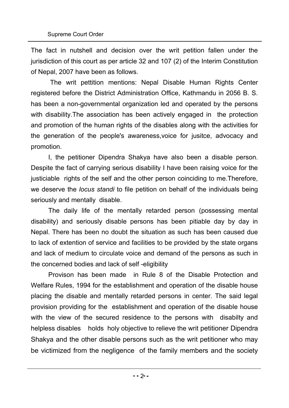The fact in nutshell and decision over the writ petition fallen under the jurisdiction of this court as per article 32 and 107 (2) of the Interim Constitution of Nepal, 2007 have been as follows.

The writ pettition mentions: Nepal Disable Human Rights Center registered before the District Administration Office, Kathmandu in 2056 B. S. has been a non-governmental organization led and operated by the persons with disability.The association has been actively engaged in the protection and promotion of the human rights of the disables along with the activities for the generation of the people's awareness,voice for jusitce, advocacy and promotion.

I, the petitioner Dipendra Shakya have also been a disable person. Despite the fact of carrying serious disability I have been raising voice for the justiciable rights of the self and the other person coinciding to me.Therefore, we deserve the *locus standi* to file petition on behalf of the individuals being seriously and mentally disable.

The daily life of the mentally retarded person (possessing mental disability) and seriously disable persons has been pitiable day by day in Nepal. There has been no doubt the situation as such has been caused due to lack of extention of service and facilities to be provided by the state organs and lack of medium to circulate voice and demand of the persons as such in the concerned bodies and lack of self -eligibility

Provison has been made in Rule 8 of the Disable Protection and Welfare Rules, 1994 for the establishment and operation of the disable house placing the disable and mentally retarded persons in center. The said legal provision providing for the establishment and operation of the disable house with the view of the secured residence to the persons with disabilty and helpless disables holds holy objective to relieve the writ petitioner Dipendra Shakya and the other disable persons such as the writ petitioner who may be victimized from the negligence of the family members and the society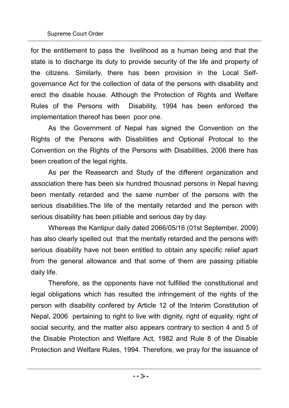for the entitlement to pass the livelihood as a human being and that the state is to discharge its duty to provide security of the life and property of the citizens. Similarly, there has been provision in the Local Selfgovernance Act for the collection of data of the persons with disability and erect the disable house. Although the Protection of Rights and Welfare Rules of the Persons with Disability, 1994 has been enforced the implementation thereof has been poor one.

As the Government of Nepal has signed the Convention on the Rights of the Persons with Disabilities and Optional Protocal to the Convention on the Rights of the Persons with Disabilities, 2006 there has been creation of the legal rights.

As per the Reasearch and Study of the different organization and association there has been six hundred thousnad persons in Nepal having been mentally retarded and the same number of the persons with the serious disabilities.The life of the mentally retarded and the person with serious disability has been pitiable and serious day by day.

Whereas the Kantipur daily dated 2066/05/16 (01st September, 2009) has also clearly spelled out that the mentally retarded and the persons with serious disability have not been entitled to obtain any specific relief apart from the general allowance and that some of them are passing pitiable daily life.

Therefore, as the opponents have not fulfilled the constitutional and legal obligations which has resulted the infringement of the rights of the person with disability confered by Article 12 of the Interim Constitution of Nepal, 2006 pertaining to right to live with dignity, right of equality, right of social security, and the matter also appears contrary to section 4 and 5 of the Disable Protection and Welfare Act, 1982 and Rule 8 of the Disable Protection and Welfare Rules, 1994. Therefore, we pray for the issuance of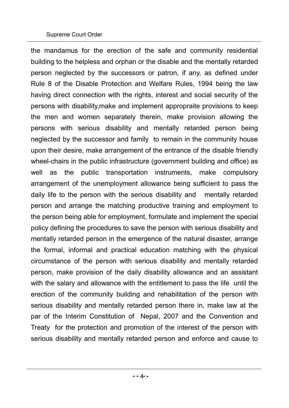#### Supreme Court Order

the mandamus for the erection of the safe and community residential building to the helpless and orphan or the disable and the mentally retarded person neglected by the successors or patron, if any, as defined under Rule 8 of the Disable Protection and Welfare Rules, 1994 being the law having direct connection with the rights, interest and social security of the persons with disability,make and implement appropraite provisions to keep the men and women separately therein, make provision allowing the persons with serious disability and mentally retarded person being neglected by the successor and family to remain in the community house upon their desire, make arrangement of the entrance of the disable friendly wheel-chairs in the public infrastructure (government building and office) as well as the public transportation instruments, make compulsory arrangement of the unemployment allowance being sufficient to pass the daily life to the person with the serious disability and mentally retarded person and arrange the matching productive training and employment to the person being able for employment, formulate and implement the special policy defining the procedures to save the person with serious disability and mentally retarded person in the emergence of the natural disaster, arrange the formal, informal and practical education matching with the physical circumstance of the person with serious disability and mentally retarded person, make provision of the daily disability allowance and an assistant with the salary and allowance with the entitlement to pass the life until the erection of the community building and rehabilitation of the person with serious disability and mentally retarded person there in, make law at the par of the Interim Constitution of Nepal, 2007 and the Convention and Treaty for the protection and promotion of the interest of the person with serious disability and mentally retarded person and enforce and cause to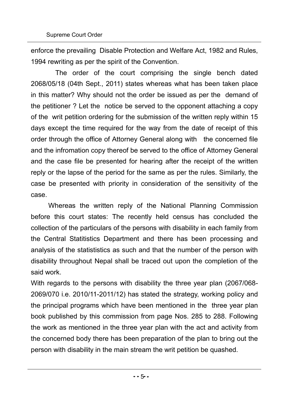enforce the prevailing Disable Protection and Welfare Act, 1982 and Rules, 1994 rewriting as per the spirit of the Convention.

 The order of the court comprising the single bench dated 2068/05/18 (04th Sept., 2011) states whereas what has been taken place in this matter? Why should not the order be issued as per the demand of the petitioner ? Let the notice be served to the opponent attaching a copy of the writ petition ordering for the submission of the written reply within 15 days except the time required for the way from the date of receipt of this order through the office of Attorney General along with the concerned file and the infromation copy thereof be served to the office of Attorney General and the case file be presented for hearing after the receipt of the written reply or the lapse of the period for the same as per the rules. Similarly, the case be presented with priority in consideration of the sensitivity of the case.

Whereas the written reply of the National Planning Commission before this court states: The recently held census has concluded the collection of the particulars of the persons with disability in each family from the Central Statitistics Department and there has been processing and analysis of the statististics as such and that the number of the person with disability throughout Nepal shall be traced out upon the completion of the said work.

With regards to the persons with disability the three year plan (2067/068- 2069/070 i.e. 2010/11-2011/12) has stated the strategy, working policy and the principal programs which have been mentioned in the three year plan book published by this commission from page Nos. 285 to 288. Following the work as mentioned in the three year plan with the act and activity from the concerned body there has been preparation of the plan to bring out the person with disability in the main stream the writ petition be quashed.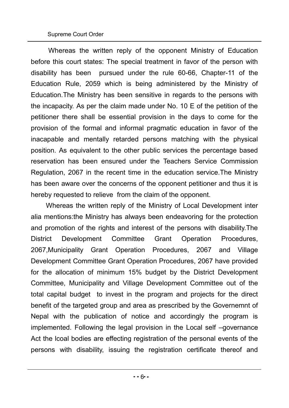Whereas the written reply of the opponent Ministry of Education before this court states: The special treatment in favor of the person with disability has been pursued under the rule 60-66, Chapter-11 of the Education Rule, 2059 which is being administered by the Ministry of Education.The Ministry has been sensitive in regards to the persons with the incapacity. As per the claim made under No. 10 E of the petition of the petitioner there shall be essential provision in the days to come for the provision of the formal and informal pragmatic education in favor of the inacapable and mentally retarded persons matching with the physical position. As equivalent to the other public services the percentage based reservation has been ensured under the Teachers Service Commission Regulation, 2067 in the recent time in the education service.The Ministry has been aware over the concerns of the opponent petitioner and thus it is hereby requested to relieve from the claim of the opponent.

 Whereas the written reply of the Ministry of Local Development inter alia mentions:the Ministry has always been endeavoring for the protection and promotion of the rights and interest of the persons with disability.The District Development Committee Grant Operation Procedures, 2067,Municipality Grant Operation Procedures, 2067 and Village Development Committee Grant Operation Procedures, 2067 have provided for the allocation of minimum 15% budget by the District Development Committee, Municipality and Village Development Committee out of the total capital budget to invest in the program and projects for the direct benefit of the targeted group and area as prescribed by the Governemnt of Nepal with the publication of notice and accordingly the program is implemented. Following the legal provision in the Local self –governance Act the lcoal bodies are effecting registration of the personal events of the persons with disability, issuing the registration certificate thereof and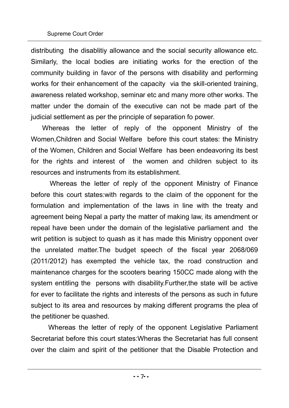distributing the disablitiy allowance and the social security allowance etc. Similarly, the local bodies are initiating works for the erection of the community building in favor of the persons with disability and performing works for their enhancement of the capacity via the skill-oriented training, awareness related workshop, seminar etc and many more other works. The matter under the domain of the executive can not be made part of the judicial settlement as per the principle of separation fo power.

 Whereas the letter of reply of the opponent Ministry of the Women,Children and Social Welfare before this court states: the Ministry of the Women, Children and Social Welfare has been endeavoring its best for the rights and interest of the women and children subject to its resources and instruments from its establishment.

 Whereas the letter of reply of the opponent Ministry of Finance before this court states:with regards to the claim of the opponent for the formulation and implementation of the laws in line with the treaty and agreement being Nepal a party the matter of making law, its amendment or repeal have been under the domain of the legislative parliament and the writ petition is subject to quash as it has made this Ministry opponent over the unrelated matter.The budget speech of the fiscal year 2068/069 (2011/2012) has exempted the vehicle tax, the road construction and maintenance charges for the scooters bearing 150CC made along with the system entitling the persons with disability.Further,the state will be active for ever to facilitate the rights and interests of the persons as such in future subject to its area and resources by making different programs the plea of the petitioner be quashed.

Whereas the letter of reply of the opponent Legislative Parliament Secretariat before this court states:Wheras the Secretariat has full consent over the claim and spirit of the petitioner that the Disable Protection and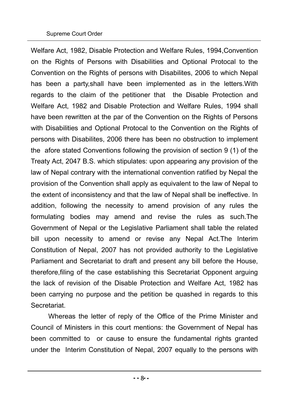Welfare Act, 1982, Disable Protection and Welfare Rules, 1994,Convention on the Rights of Persons with Disabilities and Optional Protocal to the Convention on the Rights of persons with Disabilites, 2006 to which Nepal has been a party,shall have been implemented as in the letters.With regards to the claim of the petitioner that the Disable Protection and Welfare Act, 1982 and Disable Protection and Welfare Rules, 1994 shall have been rewritten at the par of the Convention on the Rights of Persons with Disabilities and Optional Protocal to the Convention on the Rights of persons with Disabilites, 2006 there has been no obstruction to implement the afore stated Conventions following the provision of section 9 (1) of the Treaty Act, 2047 B.S. which stipulates: upon appearing any provision of the law of Nepal contrary with the international convention ratified by Nepal the provision of the Convention shall apply as equivalent to the law of Nepal to the extent of inconsistency and that the law of Nepal shall be ineffective. In addition, following the necessity to amend provision of any rules the formulating bodies may amend and revise the rules as such.The Government of Nepal or the Legislative Parliament shall table the related bill upon necessity to amend or revise any Nepal Act.The Interim Constitution of Nepal, 2007 has not provided authority to the Legislative Parliament and Secretariat to draft and present any bill before the House, therefore,filing of the case establishing this Secretariat Opponent arguing the lack of revision of the Disable Protection and Welfare Act, 1982 has been carrying no purpose and the petition be quashed in regards to this Secretariat.

Whereas the letter of reply of the Office of the Prime Minister and Council of Ministers in this court mentions: the Government of Nepal has been committed to or cause to ensure the fundamental rights granted under the Interim Constitution of Nepal, 2007 equally to the persons with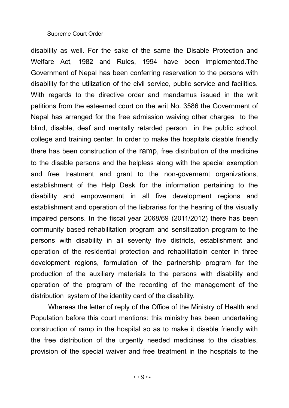disability as well. For the sake of the same the Disable Protection and Welfare Act, 1982 and Rules, 1994 have been implemented.The Government of Nepal has been conferring reservation to the persons with disability for the utilization of the civil service, public service and facilities. With regards to the directive order and mandamus issued in the writ petitions from the esteemed court on the writ No. 3586 the Government of Nepal has arranged for the free admission waiving other charges to the blind, disable, deaf and mentally retarded person in the public school, college and training center. In order to make the hospitals disable friendly there has been construction of the ramp, free distribution of the medicine to the disable persons and the helpless along with the special exemption and free treatment and grant to the non-governemt organizations, establishment of the Help Desk for the information pertaining to the disability and empowerment in all five development regions and establishment and operation of the liabraries for the hearing of the visually impaired persons. In the fiscal year 2068/69 (2011/2012) there has been community based rehabilitation program and sensitization program to the persons with disability in all seventy five districts, establishment and operation of the residential protection and rehabilitatioin center in three development regions, formulation of the partnership program for the production of the auxiliary materials to the persons with disability and operation of the program of the recording of the management of the distribution system of the identity card of the disability.

Whereas the letter of reply of the Office of the Ministry of Health and Population before this court mentions: this ministry has been undertaking construction of ramp in the hospital so as to make it disable friendly with the free distribution of the urgently needed medicines to the disables, provision of the special waiver and free treatment in the hospitals to the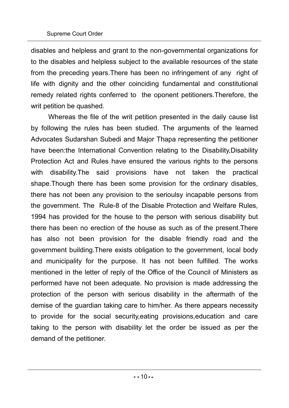disables and helpless and grant to the non-governmental organizations for to the disables and helpless subject to the available resources of the state from the preceding years.There has been no infringement of any right of life with dignity and the other coinciding fundamental and constitutional remedy related rights conferred to the oponent petitioners.Therefore, the writ petition be quashed.

Whereas the file of the writ petition presented in the daily cause list by following the rules has been studied. The arguments of the learned Advocates Sudarshan Subedi and Major Thapa representing the petitioner have been:the International Convention relating to the Disability,Disability Protection Act and Rules have ensured the various rights to the persons with disability.The said provisions have not taken the practical shape.Though there has been some provision for the ordinary disables, there has not been any provision to the serioulsy incapable persons from the government. The Rule-8 of the Disable Protection and Welfare Rules, 1994 has provided for the house to the person with serious disability but there has been no erection of the house as such as of the present.There has also not been provision for the disable friendly road and the government building.There exists obligation to the government, local body and municipality for the purpose. It has not been fulfilled. The works mentioned in the letter of reply of the Office of the Council of Ministers as performed have not been adequate. No provision is made addressing the protection of the person with serious disability in the aftermath of the demise of the guardian taking care to him/her. As there appears necessity to provide for the social security,eating provisions,education and care taking to the person with disability let the order be issued as per the demand of the petitioner.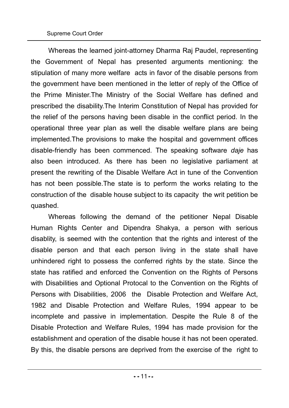Whereas the learned joint-attorney Dharma Raj Paudel, representing the Government of Nepal has presented arguments mentioning: the stipulation of many more welfare acts in favor of the disable persons from the government have been mentioned in the letter of reply of the Office of the Prime Minister.The Ministry of the Social Welfare has defined and prescribed the disability.The Interim Constitution of Nepal has provided for the relief of the persons having been disable in the conflict period. In the operational three year plan as well the disable welfare plans are being implemented.The provisions to make the hospital and government offices disable-friendly has been commenced. The speaking software *daje* has also been introduced. As there has been no legislative parliament at present the rewriting of the Disable Welfare Act in tune of the Convention has not been possible.The state is to perform the works relating to the construction of the disable house subject to its capacity the writ petition be quashed.

Whereas following the demand of the petitioner Nepal Disable Human Rights Center and Dipendra Shakya, a person with serious disablity, is seemed with the contention that the rights and interest of the disable person and that each person living in the state shall have unhindered right to possess the conferred rights by the state. Since the state has ratified and enforced the Convention on the Rights of Persons with Disabilities and Optional Protocal to the Convention on the Rights of Persons with Disabilities, 2006 the Disable Protection and Welfare Act, 1982 and Disable Protection and Welfare Rules, 1994 appear to be incomplete and passive in implementation. Despite the Rule 8 of the Disable Protection and Welfare Rules, 1994 has made provision for the establishment and operation of the disable house it has not been operated. By this, the disable persons are deprived from the exercise of the right to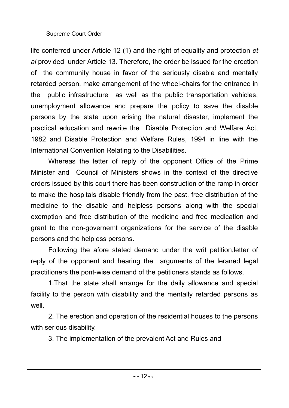life conferred under Article 12 (1) and the right of equality and protection *et al* provided under Article 13. Therefore, the order be issued for the erection of the community house in favor of the seriously disable and mentally retarded person, make arrangement of the wheel-chairs for the entrance in the public infrastructure as well as the public transportation vehicles, unemployment allowance and prepare the policy to save the disable persons by the state upon arising the natural disaster, implement the practical education and rewrite the Disable Protection and Welfare Act, 1982 and Disable Protection and Welfare Rules, 1994 in line with the International Convention Relating to the Disabilities.

Whereas the letter of reply of the opponent Office of the Prime Minister and Council of Ministers shows in the context of the directive orders issued by this court there has been construction of the ramp in order to make the hospitals disable friendly from the past, free distribution of the medicine to the disable and helpless persons along with the special exemption and free distribution of the medicine and free medication and grant to the non-governemt organizations for the service of the disable persons and the helpless persons.

Following the afore stated demand under the writ petition,letter of reply of the opponent and hearing the arguments of the leraned legal practitioners the pont-wise demand of the petitioners stands as follows.

1.That the state shall arrange for the daily allowance and special facility to the person with disability and the mentally retarded persons as well.

2. The erection and operation of the residential houses to the persons with serious disability.

3. The implementation of the prevalent Act and Rules and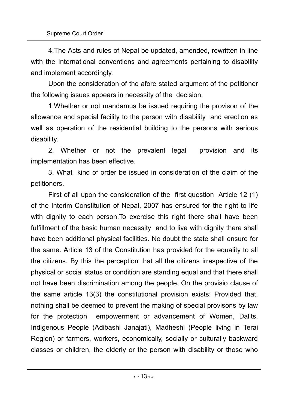4.The Acts and rules of Nepal be updated, amended, rewritten in line with the International conventions and agreements pertaining to disability and implement accordingly.

Upon the consideration of the afore stated argument of the petitioner the following issues appears in necessity of the decision.

1.Whether or not mandamus be issued requiring the provison of the allowance and special facility to the person with disability and erection as well as operation of the residential building to the persons with serious disability.

2. Whether or not the prevalent legal provision and its implementation has been effective.

3. What kind of order be issued in consideration of the claim of the petitioners.

First of all upon the consideration of the first question Article 12 (1) of the Interim Constitution of Nepal, 2007 has ensured for the right to life with dignity to each person. To exercise this right there shall have been fulfillment of the basic human necessity and to live with dignity there shall have been additional physical facilities. No doubt the state shall ensure for the same. Article 13 of the Constitution has provided for the equality to all the citizens. By this the perception that all the citizens irrespective of the physical or social status or condition are standing equal and that there shall not have been discrimination among the people. On the provisio clause of the same article 13(3) the constitutional provision exists: Provided that, nothing shall be deemed to prevent the making of special provisons by law for the protection empowerment or advancement of Women, Dalits, Indigenous People (Adibashi Janajati), Madheshi (People living in Terai Region) or farmers, workers, economically, socially or culturally backward classes or children, the elderly or the person with disability or those who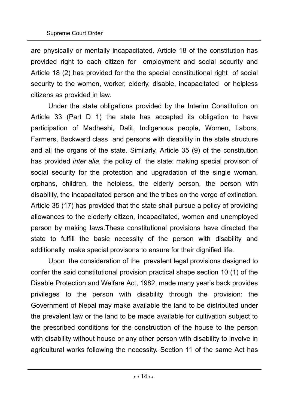are physically or mentally incapacitated. Article 18 of the constitution has provided right to each citizen for employment and social security and Article 18 (2) has provided for the the special constitutional right of social security to the women, worker, elderly, disable, incapacitated or helpless citizens as provided in law.

Under the state obligations provided by the Interim Constitution on Article 33 (Part D 1) the state has accepted its obligation to have participation of Madheshi, Dalit, Indigenous people, Women, Labors, Farmers, Backward class and persons with disability in the state structure and all the organs of the state. Similarly, Article 35 (9) of the constitution has provided *inter alia*, the policy of the state: making special provison of social security for the protection and upgradation of the single woman, orphans, children, the helpless, the elderly person, the person with disability, the incapacitated person and the tribes on the verge of extinction. Article 35 (17) has provided that the state shall pursue a policy of providing allowances to the elederly citizen, incapacitated, women and unemployed person by making laws.These constitutional provisions have directed the state to fulfill the basic necessity of the person with disability and additionally make special provisons to ensure for their dignified life.

Upon the consideration of the prevalent legal provisions designed to confer the said constitutional provision practical shape section 10 (1) of the Disable Protection and Welfare Act, 1982, made many year's back provides privileges to the person with disability through the provision: the Government of Nepal may make available the land to be distributed under the prevalent law or the land to be made available for cultivation subject to the prescribed conditions for the construction of the house to the person with disability without house or any other person with disability to involve in agricultural works following the necessity. Section 11 of the same Act has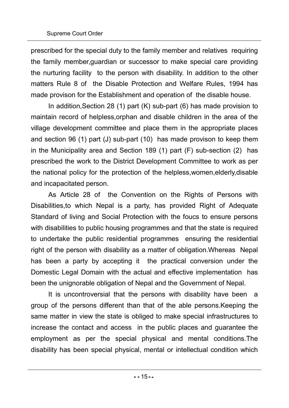prescribed for the special duty to the family member and relatives requiring the family member,guardian or successor to make special care providing the nurturing facility to the person with disability. In addition to the other matters Rule 8 of the Disable Protection and Welfare Rules, 1994 has made provison for the Establishment and operation of the disable house.

In addition,Section 28 (1) part (K) sub-part (6) has made provision to maintain record of helpless,orphan and disable children in the area of the village development committee and place them in the appropriate places and section 96 (1) part (J) sub-part (10) has made provison to keep them in the Municipality area and Section 189 (1) part (F) sub-section (2) has prescribed the work to the District Development Committee to work as per the national policy for the protection of the helpless,women,elderly,disable and incapacitated person.

As Article 28 of the Convention on the Rights of Persons with Disabilities,to which Nepal is a party, has provided Right of Adequate Standard of living and Social Protection with the foucs to ensure persons with disabilities to public housing programmes and that the state is required to undertake the public residential programmes ensuring the residential right of the person with disability as a matter of obligation.Whereas Nepal has been a party by accepting it the practical conversion under the Domestic Legal Domain with the actual and effective implementation has been the unignorable obligation of Nepal and the Government of Nepal.

It is uncontroversial that the persons with disability have been a group of the persons different than that of the able persons.Keeping the same matter in view the state is obliged to make special infrastructures to increase the contact and access in the public places and guarantee the employment as per the special physical and mental conditions.The disability has been special physical, mental or intellectual condition which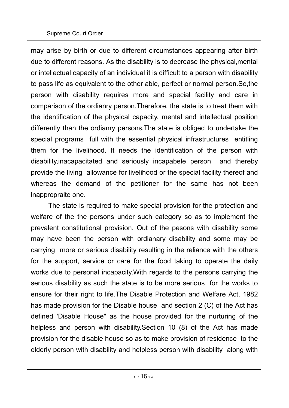may arise by birth or due to different circumstances appearing after birth due to different reasons. As the disability is to decrease the physical,mental or intellectual capacity of an individual it is difficult to a person with disability to pass life as equivalent to the other able, perfect or normal person.So,the person with disability requires more and special facility and care in comparison of the ordianry person.Therefore, the state is to treat them with the identification of the physical capacity, mental and intellectual position differently than the ordianry persons.The state is obliged to undertake the special programs full with the essential physical infrastructures entitling them for the livelihood. It needs the identification of the person with disability,inacapacitated and seriously incapabele person and thereby provide the living allowance for livelihood or the special facility thereof and whereas the demand of the petitioner for the same has not been inappropraite one.

The state is required to make special provision for the protection and welfare of the the persons under such category so as to implement the prevalent constitutional provision. Out of the pesons with disability some may have been the person with ordianary disability and some may be carrying more or serious disability resulting in the reliance with the others for the support, service or care for the food taking to operate the daily works due to personal incapacity.With regards to the persons carrying the serious disability as such the state is to be more serious for the works to ensure for their right to life.The Disable Protection and Welfare Act, 1982 has made provision for the Disable house and section 2 (C) of the Act has defined 'Disable House" as the house provided for the nurturing of the helpless and person with disability.Section 10 (8) of the Act has made provision for the disable house so as to make provision of residence to the elderly person with disability and helpless person with disability along with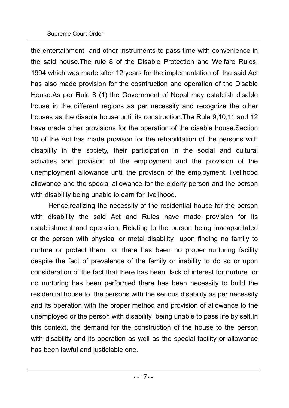### Supreme Court Order

the entertainment and other instruments to pass time with convenience in the said house.The rule 8 of the Disable Protection and Welfare Rules, 1994 which was made after 12 years for the implementation of the said Act has also made provision for the cosntruction and operation of the Disable House.As per Rule 8 (1) the Government of Nepal may establish disable house in the different regions as per necessity and recognize the other houses as the disable house until its construction.The Rule 9,10,11 and 12 have made other provisions for the operation of the disable house.Section 10 of the Act has made provison for the rehabilitation of the persons with disability in the society, their participation in the social and cultural activities and provision of the employment and the provision of the unemployment allowance until the provison of the employment, livelihood allowance and the special allowance for the elderly person and the person with disability being unable to earn for livelihood.

Hence,realizing the necessity of the residential house for the person with disability the said Act and Rules have made provision for its establishment and operation. Relating to the person being inacapacitated or the person with physical or metal disability upon finding no family to nurture or protect them or there has been no proper nurturing facility despite the fact of prevalence of the family or inability to do so or upon consideration of the fact that there has been lack of interest for nurture or no nurturing has been performed there has been necessity to build the residential house to the persons with the serious disability as per necessity and its operation with the proper method and provision of allowance to the unemployed or the person with disability being unable to pass life by self.In this context, the demand for the construction of the house to the person with disability and its operation as well as the special facility or allowance has been lawful and justiciable one.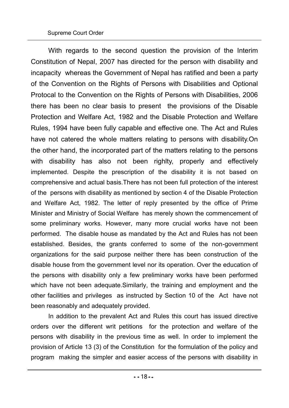With regards to the second question the provision of the Interim Constitution of Nepal, 2007 has directed for the person with disability and incapacity whereas the Government of Nepal has ratified and been a party of the Convention on the Rights of Persons with Disabilities and Optional Protocal to the Convention on the Rights of Persons with Disabilities, 2006 there has been no clear basis to present the provisions of the Disable Protection and Welfare Act, 1982 and the Disable Protection and Welfare Rules, 1994 have been fully capable and effective one. The Act and Rules have not catered the whole matters relating to persons with disability.On the other hand, the incorporated part of the matters relating to the persons with disability has also not been righlty, properly and effectively implemented. Despite the prescription of the disability it is not based on comprehensive and actual basis.There has not been full protection of the interest of the persons with disability as mentioned by section 4 of the Disable Protection and Welfare Act, 1982. The letter of reply presented by the office of Prime Minister and Ministry of Social Welfare has merely shown the commencement of some preliminary works. However, many more crucial works have not been performed. The disable house as mandated by the Act and Rules has not been established. Besides, the grants conferred to some of the non-government organizations for the said purpose neither there has been construction of the disable house from the government level nor its operation. Over the education of the persons with disability only a few preliminary works have been performed which have not been adequate. Similarly, the training and employment and the other facilities and privileges as instructed by Section 10 of the Act have not been reasonably and adequately provided.

In addition to the prevalent Act and Rules this court has issued directive orders over the different writ petitions for the protection and welfare of the persons with disability in the previous time as well. In order to implement the provision of Article 13 (3) of the Constitution for the formulation of the policy and program making the simpler and easier access of the persons with disability in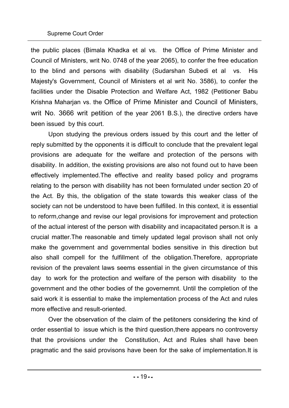#### Supreme Court Order

the public places (Bimala Khadka et al vs. the Office of Prime Minister and Council of Ministers, writ No. 0748 of the year 2065), to confer the free education to the blind and persons with disability (Sudarshan Subedi et al vs. His Majesty's Government, Council of Ministers et al writ No. 3586), to confer the facilities under the Disable Protection and Welfare Act, 1982 (Petitioner Babu Krishna Maharjan vs. the Office of Prime Minister and Council of Ministers, writ No. 3666 writ petition of the year 2061 B.S.), the directive orders have been issued by this court.

Upon studying the previous orders issued by this court and the letter of reply submitted by the opponents it is difficult to conclude that the prevalent legal provisions are adequate for the welfare and protection of the persons with disability. In addition, the existing provisions are also not found out to have been effectively implemented.The effective and reality based policy and programs relating to the person with disability has not been formulated under section 20 of the Act. By this, the obligation of the state towards this weaker class of the society can not be understood to have been fulfilled. In this context, it is essential to reform,change and revise our legal provisions for improvement and protection of the actual interest of the person with disability and incapacitated person.It is a crucial matter.The reasonable and timely updated legal provison shall not only make the government and governmental bodies sensitive in this direction but also shall compell for the fulfillment of the obligation.Therefore, appropriate revision of the prevalent laws seems essential in the given circumstance of this day to work for the protection and welfare of the person with disability to the government and the other bodies of the governemnt. Until the completion of the said work it is essential to make the implementation process of the Act and rules more effective and result-oriented.

Over the observation of the claim of the petitoners considering the kind of order essential to issue which is the third question,there appears no controversy that the provisions under the Constitution, Act and Rules shall have been pragmatic and the said provisons have been for the sake of implementation.It is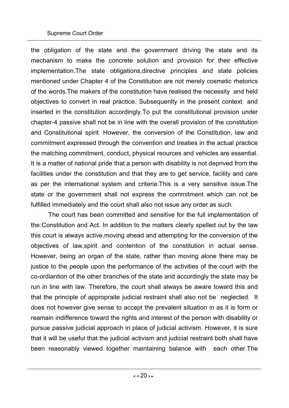#### Supreme Court Order

the obligation of the state and the government driving the state and its mechanism to make the concrete solution and provision for their effective implementation.The state obligations,directive principles and state policies mentioned under Chapter 4 of the Constitution are not merely cosmetic rhetorics of the words.The makers of the constitution have realised the necessity and held objectives to convert in real practice. Subsequenlty in the present context and inserted in the constitution accordingly.To put the constitutional provision under chapter-4 passive shall not be in line with the overall provision of the constitution and Constitutional spirit. However, the conversion of the Constitution, law and commitment expressed through the convention and treaties in the actual practice the matching commitment, conduct, physical reources and vehicles are essential. It is a matter of national pride that a person with disability is not deprived from the facilities under the constitution and that they are to get service, facility and care as per the international system and criteria.This is a very sensitive issue.The state or the government shall not express the commitment which can not be fulfilled immediately and the court shall also not issue any order as such.

The court has been committed and sensitive for the full implementation of the Constitution and Act. In addition to the matters clearly spelled out by the law this court is always active,moving ahead and attempting for the conversion of the objectives of law,spirit and contention of the constitution in actual sense. However, being an organ of the state, rather than moving alone there may be justice to the people upon the performance of the activities of the court with the co-ordiantion of the other branches of the state and accordingly the state may be run in line with law. Therefore, the court shall always be aware toward this and that the principle of appropraite judicial restraint shall also not be neglected. It does not however give sense to accept the prevalent situation in as it is form or reamain indifference toward the rights and interest of the person with disability or pursue passive judicial approach in place of judicial activism. However, it is sure that it will be useful that the judicial activism and judicial restraint both shall have been reasonably viewed together maintaining balance with each other.The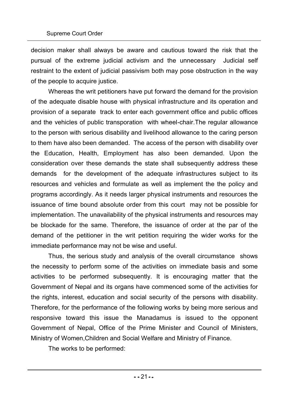decision maker shall always be aware and cautious toward the risk that the pursual of the extreme judicial activism and the unnecessary Judicial self restraint to the extent of judicial passivism both may pose obstruction in the way of the people to acquire justice.

Whereas the writ petitioners have put forward the demand for the provision of the adequate disable house with physical infrastructure and its operation and provision of a separate track to enter each government office and public offices and the vehicles of public transporation with wheel-chair.The regular allowance to the person with serious disability and livelihood allowance to the caring person to them have also been demanded. The access of the person with disability over the Education, Health, Employment has also been demanded. Upon the consideration over these demands the state shall subsequently address these demands for the development of the adequate infrastructures subject to its resources and vehicles and formulate as well as implement the the policy and programs accordingly. As it needs larger physical instruments and resources the issuance of time bound absolute order from this court may not be possible for implementation. The unavailability of the physical instruments and resources may be blockade for the same. Therefore, the issuance of order at the par of the demand of the petitioner in the writ petition requiring the wider works for the immediate performance may not be wise and useful.

Thus, the serious study and analysis of the overall circumstance shows the necessity to perform some of the activities on immediate basis and some activities to be performed subsequently. It is encouraging matter that the Government of Nepal and its organs have commenced some of the activities for the rights, interest, education and social security of the persons with disability. Therefore, for the performance of the following works by being more serious and responsive toward this issue the Manadamus is issued to the opponent Government of Nepal, Office of the Prime Minister and Council of Ministers, Ministry of Women,Children and Social Welfare and Ministry of Finance.

The works to be performed: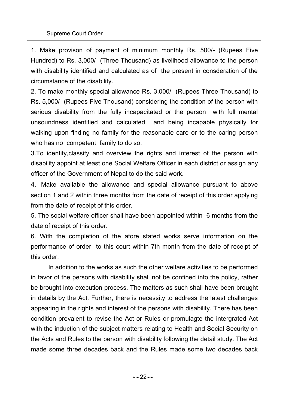1. Make provison of payment of minimum monthly Rs. 500/- (Rupees Five Hundred) to Rs. 3,000/- (Three Thousand) as livelihood allowance to the person with disability identified and calculated as of the present in consderation of the circumstance of the disability.

2. To make monthly special allowance Rs. 3,000/- (Rupees Three Thousand) to Rs. 5,000/- (Rupees Five Thousand) considering the condition of the person with serious disability from the fully incapacitated or the person with full mental unsoundness identified and calculated and being incapable physically for walking upon finding no family for the reasonable care or to the caring person who has no competent family to do so.

3.To identify,classify and overview the rights and interest of the person with disability appoint at least one Social Welfare Officer in each district or assign any officer of the Government of Nepal to do the said work.

4. Make available the allowance and special allowance pursuant to above section 1 and 2 within three months from the date of receipt of this order applying from the date of receipt of this order.

5. The social welfare officer shall have been appointed within 6 months from the date of receipt of this order.

6. With the completion of the afore stated works serve information on the performance of order to this court within 7th month from the date of receipt of this order.

In addition to the works as such the other welfare activities to be performed in favor of the persons with disability shall not be confined into the policy, rather be brought into execution process. The matters as such shall have been brought in details by the Act. Further, there is necessity to address the latest challenges appearing in the rights and interest of the persons with disability. There has been condition prevalent to revise the Act or Rules or promulagte the intergrated Act with the induction of the subject matters relating to Health and Social Security on the Acts and Rules to the person with disability following the detail study. The Act made some three decades back and the Rules made some two decades back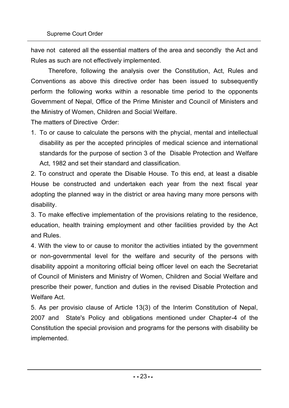have not catered all the essential matters of the area and secondly the Act and Rules as such are not effectively implemented.

Therefore, following the analysis over the Constitution, Act, Rules and Conventions as above this directive order has been issued to subsequently perform the following works within a resonable time period to the opponents Government of Nepal, Office of the Prime Minister and Council of Ministers and the Ministry of Women, Children and Social Welfare.

The matters of Directive Order:

1. To or cause to calculate the persons with the phycial, mental and intellectual disability as per the accepted principles of medical science and international standards for the purpose of section 3 of the Disable Protection and Welfare Act, 1982 and set their standard and classification.

2. To construct and operate the Disable House. To this end, at least a disable House be constructed and undertaken each year from the next fiscal year adopting the planned way in the district or area having many more persons with disability.

3. To make effective implementation of the provisions relating to the residence, education, health training employment and other facilities provided by the Act and Rules.

4. With the view to or cause to monitor the activities intiated by the government or non-governmental level for the welfare and security of the persons with disability appoint a monitoring official being officer level on each the Secretariat of Council of Ministers and Ministry of Women, Children and Social Welfare and prescribe their power, function and duties in the revised Disable Protection and Welfare Act.

5. As per provisio clause of Article 13(3) of the Interim Constitution of Nepal, 2007 and State's Policy and obligations mentioned under Chapter-4 of the Constitution the special provision and programs for the persons with disability be implemented.